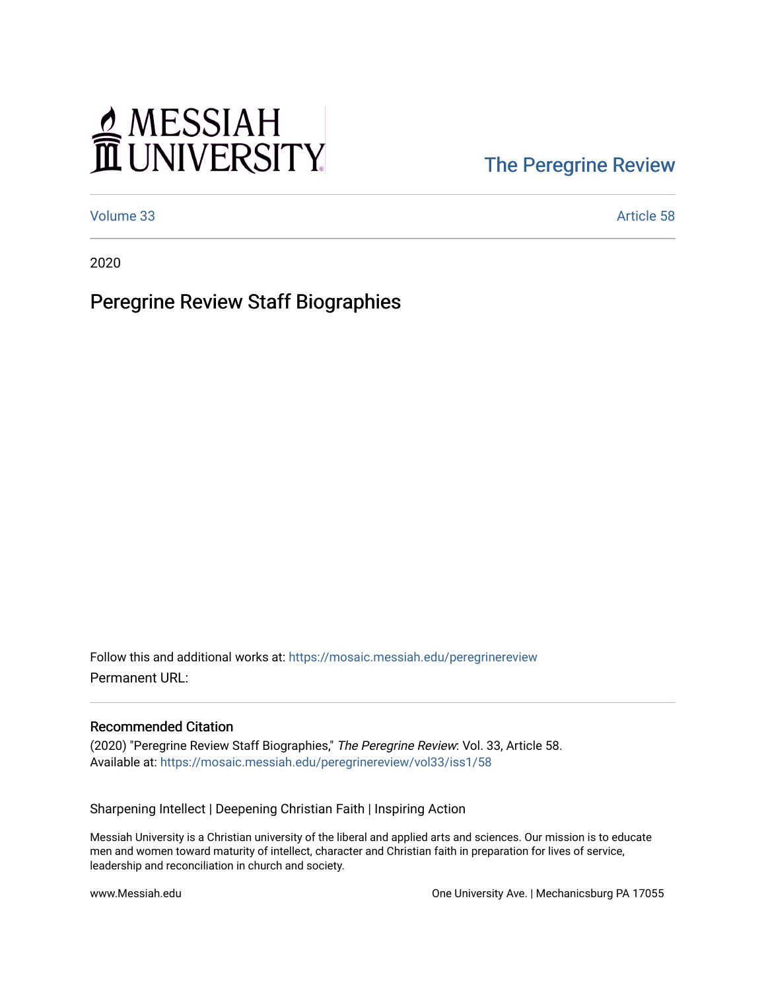# MESSIAH

### [The Peregrine Review](https://mosaic.messiah.edu/peregrinereview)

[Volume 33](https://mosaic.messiah.edu/peregrinereview/vol33) Article 58

2020

### Peregrine Review Staff Biographies

Follow this and additional works at: [https://mosaic.messiah.edu/peregrinereview](https://mosaic.messiah.edu/peregrinereview?utm_source=mosaic.messiah.edu%2Fperegrinereview%2Fvol33%2Fiss1%2F58&utm_medium=PDF&utm_campaign=PDFCoverPages)  Permanent URL:

#### Recommended Citation

(2020) "Peregrine Review Staff Biographies," The Peregrine Review: Vol. 33, Article 58. Available at: [https://mosaic.messiah.edu/peregrinereview/vol33/iss1/58](https://mosaic.messiah.edu/peregrinereview/vol33/iss1/58?utm_source=mosaic.messiah.edu%2Fperegrinereview%2Fvol33%2Fiss1%2F58&utm_medium=PDF&utm_campaign=PDFCoverPages)

Sharpening Intellect | Deepening Christian Faith | Inspiring Action

Messiah University is a Christian university of the liberal and applied arts and sciences. Our mission is to educate men and women toward maturity of intellect, character and Christian faith in preparation for lives of service, leadership and reconciliation in church and society.